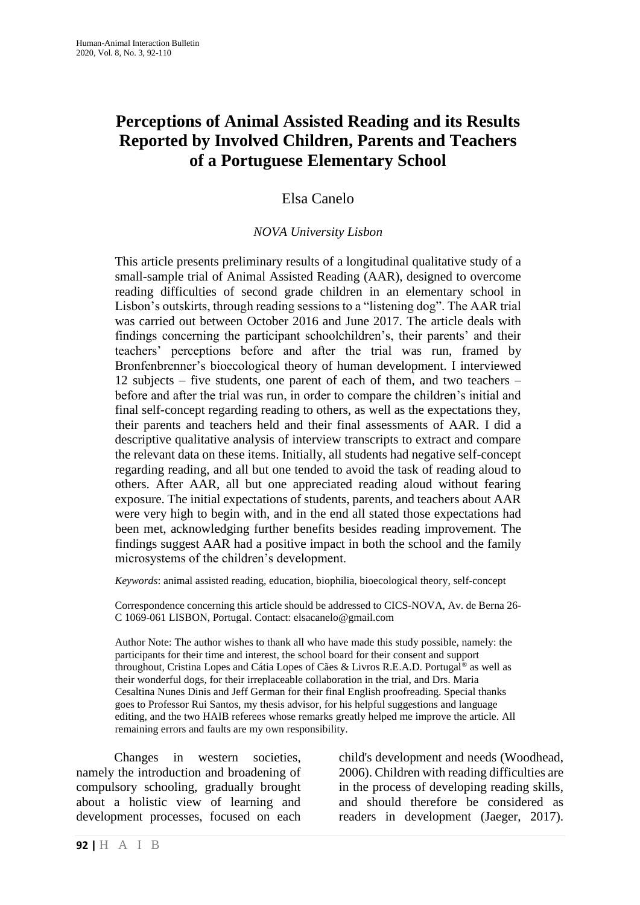# **Perceptions of Animal Assisted Reading and its Results Reported by Involved Children, Parents and Teachers of a Portuguese Elementary School**

## Elsa Canelo

#### *NOVA University Lisbon*

This article presents preliminary results of a longitudinal qualitative study of a small-sample trial of Animal Assisted Reading (AAR), designed to overcome reading difficulties of second grade children in an elementary school in Lisbon's outskirts, through reading sessions to a "listening dog". The AAR trial was carried out between October 2016 and June 2017. The article deals with findings concerning the participant schoolchildren's, their parents' and their teachers' perceptions before and after the trial was run, framed by Bronfenbrenner's bioecological theory of human development. I interviewed 12 subjects – five students, one parent of each of them, and two teachers – before and after the trial was run, in order to compare the children's initial and final self-concept regarding reading to others, as well as the expectations they, their parents and teachers held and their final assessments of AAR. I did a descriptive qualitative analysis of interview transcripts to extract and compare the relevant data on these items. Initially, all students had negative self-concept regarding reading, and all but one tended to avoid the task of reading aloud to others. After AAR, all but one appreciated reading aloud without fearing exposure. The initial expectations of students, parents, and teachers about AAR were very high to begin with, and in the end all stated those expectations had been met, acknowledging further benefits besides reading improvement. The findings suggest AAR had a positive impact in both the school and the family microsystems of the children's development.

*Keywords*: animal assisted reading, education, biophilia, bioecological theory, self-concept

Correspondence concerning this article should be addressed to CICS-NOVA, Av. de Berna 26- C 1069-061 LISBON, Portugal. Contact: elsacanelo@gmail.com

Author Note: The author wishes to thank all who have made this study possible, namely: the participants for their time and interest, the school board for their consent and support throughout, Cristina Lopes and Cátia Lopes of Cães & Livros R.E.A.D. Portugal® as well as their wonderful dogs, for their irreplaceable collaboration in the trial, and Drs. Maria Cesaltina Nunes Dinis and Jeff German for their final English proofreading. Special thanks goes to Professor Rui Santos, my thesis advisor, for his helpful suggestions and language editing, and the two HAIB referees whose remarks greatly helped me improve the article. All remaining errors and faults are my own responsibility.

Changes in western societies, namely the introduction and broadening of compulsory schooling, gradually brought about a holistic view of learning and development processes, focused on each child's development and needs (Woodhead, 2006). Children with reading difficulties are in the process of developing reading skills, and should therefore be considered as readers in development (Jaeger, 2017).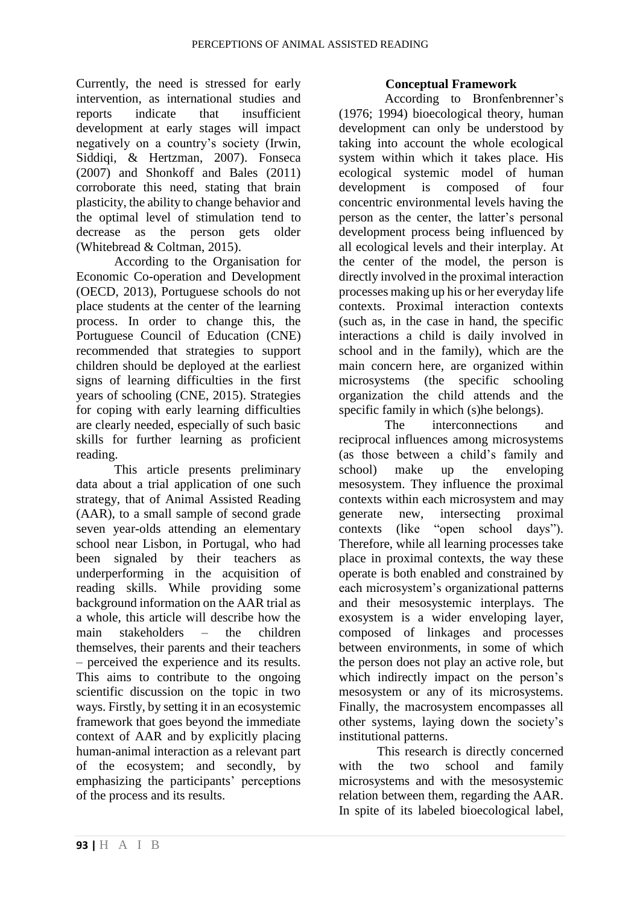Currently, the need is stressed for early intervention, as international studies and reports indicate that insufficient development at early stages will impact negatively on a country's society (Irwin, Siddiqi, & Hertzman, 2007). Fonseca (2007) and Shonkoff and Bales (2011) corroborate this need, stating that brain plasticity, the ability to change behavior and the optimal level of stimulation tend to decrease as the person gets older (Whitebread & Coltman, 2015).

According to the Organisation for Economic Co-operation and Development (OECD, 2013), Portuguese schools do not place students at the center of the learning process. In order to change this, the Portuguese Council of Education (CNE) recommended that strategies to support children should be deployed at the earliest signs of learning difficulties in the first years of schooling (CNE, 2015). Strategies for coping with early learning difficulties are clearly needed, especially of such basic skills for further learning as proficient reading.

This article presents preliminary data about a trial application of one such strategy, that of Animal Assisted Reading (AAR), to a small sample of second grade seven year-olds attending an elementary school near Lisbon, in Portugal, who had been signaled by their teachers as underperforming in the acquisition of reading skills. While providing some background information on the AAR trial as a whole, this article will describe how the main stakeholders – the children themselves, their parents and their teachers – perceived the experience and its results. This aims to contribute to the ongoing scientific discussion on the topic in two ways. Firstly, by setting it in an ecosystemic framework that goes beyond the immediate context of AAR and by explicitly placing human-animal interaction as a relevant part of the ecosystem; and secondly, by emphasizing the participants' perceptions of the process and its results.

#### **Conceptual Framework**

According to Bronfenbrenner's (1976; 1994) bioecological theory, human development can only be understood by taking into account the whole ecological system within which it takes place. His ecological systemic model of human development is composed of four concentric environmental levels having the person as the center, the latter's personal development process being influenced by all ecological levels and their interplay. At the center of the model, the person is directly involved in the proximal interaction processes making up his or her everyday life contexts. Proximal interaction contexts (such as, in the case in hand, the specific interactions a child is daily involved in school and in the family), which are the main concern here, are organized within microsystems (the specific schooling organization the child attends and the specific family in which (s)he belongs).

The interconnections and reciprocal influences among microsystems (as those between a child's family and school) make up the enveloping mesosystem. They influence the proximal contexts within each microsystem and may generate new, intersecting proximal contexts (like "open school days"). Therefore, while all learning processes take place in proximal contexts, the way these operate is both enabled and constrained by each microsystem's organizational patterns and their mesosystemic interplays. The exosystem is a wider enveloping layer, composed of linkages and processes between environments, in some of which the person does not play an active role, but which indirectly impact on the person's mesosystem or any of its microsystems. Finally, the macrosystem encompasses all other systems, laying down the society's institutional patterns.

This research is directly concerned with the two school and family microsystems and with the mesosystemic relation between them, regarding the AAR. In spite of its labeled bioecological label,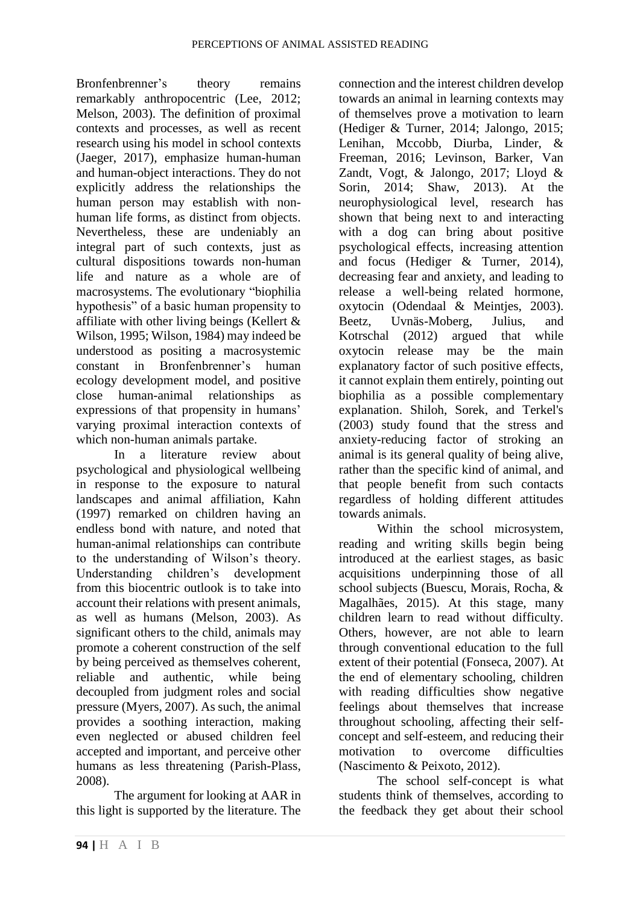Bronfenbrenner's theory remains remarkably anthropocentric (Lee, 2012; Melson, 2003). The definition of proximal contexts and processes, as well as recent research using his model in school contexts (Jaeger, 2017), emphasize human-human and human-object interactions. They do not explicitly address the relationships the human person may establish with nonhuman life forms, as distinct from objects. Nevertheless, these are undeniably an integral part of such contexts, just as cultural dispositions towards non-human life and nature as a whole are of macrosystems. The evolutionary "biophilia hypothesis" of a basic human propensity to affiliate with other living beings (Kellert & Wilson, 1995; Wilson, 1984) may indeed be understood as positing a macrosystemic constant in Bronfenbrenner's human ecology development model, and positive close human-animal relationships as expressions of that propensity in humans' varying proximal interaction contexts of which non-human animals partake.

In a literature review about psychological and physiological wellbeing in response to the exposure to natural landscapes and animal affiliation, Kahn (1997) remarked on children having an endless bond with nature, and noted that human-animal relationships can contribute to the understanding of Wilson's theory. Understanding children's development from this biocentric outlook is to take into account their relations with present animals, as well as humans (Melson, 2003). As significant others to the child, animals may promote a coherent construction of the self by being perceived as themselves coherent, reliable and authentic, while being decoupled from judgment roles and social pressure (Myers, 2007). As such, the animal provides a soothing interaction, making even neglected or abused children feel accepted and important, and perceive other humans as less threatening (Parish-Plass, 2008).

The argument for looking at AAR in this light is supported by the literature. The

connection and the interest children develop towards an animal in learning contexts may of themselves prove a motivation to learn (Hediger & Turner, 2014; Jalongo, 2015; Lenihan, Mccobb, Diurba, Linder, & Freeman, 2016; Levinson, Barker, Van Zandt, Vogt, & Jalongo, 2017; Lloyd & Sorin, 2014; Shaw, 2013). At the neurophysiological level, research has shown that being next to and interacting with a dog can bring about positive psychological effects, increasing attention and focus (Hediger & Turner, 2014), decreasing fear and anxiety, and leading to release a well-being related hormone, oxytocin (Odendaal & Meintjes, 2003). Beetz, Uvnäs-Moberg, Julius, and Kotrschal (2012) argued that while oxytocin release may be the main explanatory factor of such positive effects, it cannot explain them entirely, pointing out biophilia as a possible complementary explanation. Shiloh, Sorek, and Terkel's (2003) study found that the stress and anxiety-reducing factor of stroking an animal is its general quality of being alive, rather than the specific kind of animal, and that people benefit from such contacts regardless of holding different attitudes towards animals.

Within the school microsystem, reading and writing skills begin being introduced at the earliest stages, as basic acquisitions underpinning those of all school subjects (Buescu, Morais, Rocha, & Magalhães, 2015). At this stage, many children learn to read without difficulty. Others, however, are not able to learn through conventional education to the full extent of their potential (Fonseca, 2007). At the end of elementary schooling, children with reading difficulties show negative feelings about themselves that increase throughout schooling, affecting their selfconcept and self-esteem, and reducing their motivation to overcome difficulties (Nascimento & Peixoto, 2012).

The school self-concept is what students think of themselves, according to the feedback they get about their school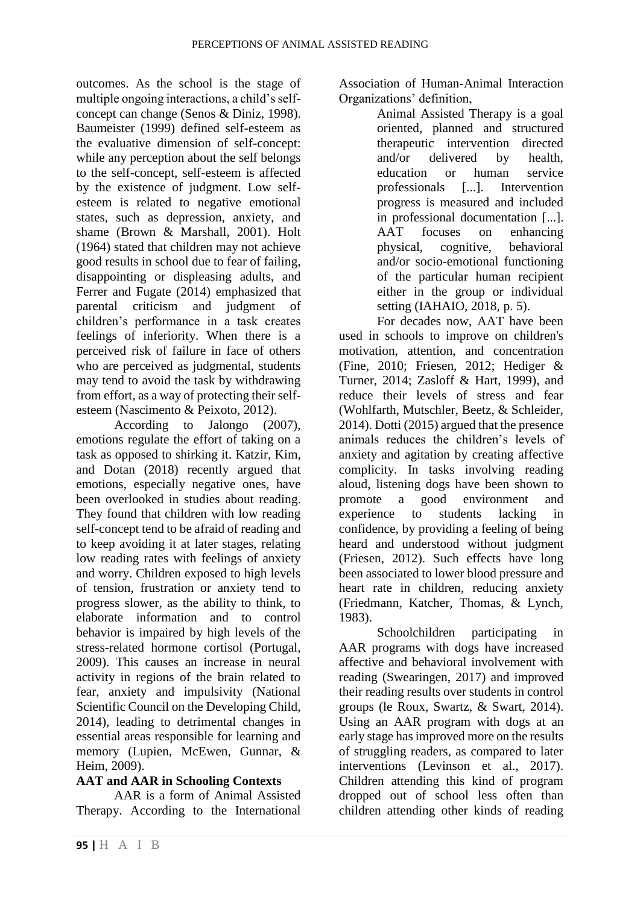outcomes. As the school is the stage of multiple ongoing interactions, a child's selfconcept can change (Senos & Diniz, 1998). Baumeister (1999) defined self-esteem as the evaluative dimension of self-concept: while any perception about the self belongs to the self-concept, self-esteem is affected by the existence of judgment. Low selfesteem is related to negative emotional states, such as depression, anxiety, and shame (Brown & Marshall, 2001). Holt (1964) stated that children may not achieve good results in school due to fear of failing, disappointing or displeasing adults, and Ferrer and Fugate (2014) emphasized that parental criticism and judgment of children's performance in a task creates feelings of inferiority. When there is a perceived risk of failure in face of others who are perceived as judgmental, students may tend to avoid the task by withdrawing from effort, as a way of protecting their selfesteem (Nascimento & Peixoto, 2012).

According to Jalongo (2007), emotions regulate the effort of taking on a task as opposed to shirking it. Katzir, Kim, and Dotan (2018) recently argued that emotions, especially negative ones, have been overlooked in studies about reading. They found that children with low reading self-concept tend to be afraid of reading and to keep avoiding it at later stages, relating low reading rates with feelings of anxiety and worry. Children exposed to high levels of tension, frustration or anxiety tend to progress slower, as the ability to think, to elaborate information and to control behavior is impaired by high levels of the stress-related hormone cortisol (Portugal, 2009). This causes an increase in neural activity in regions of the brain related to fear, anxiety and impulsivity (National Scientific Council on the Developing Child, 2014), leading to detrimental changes in essential areas responsible for learning and memory (Lupien, McEwen, Gunnar, & Heim, 2009).

## **AAT and AAR in Schooling Contexts**

AAR is a form of Animal Assisted Therapy. According to the International Association of Human-Animal Interaction Organizations' definition,

Animal Assisted Therapy is a goal oriented, planned and structured therapeutic intervention directed and/or delivered by health, education or human service professionals [...]. Intervention progress is measured and included in professional documentation [...]. AAT focuses on enhancing physical, cognitive, behavioral and/or socio-emotional functioning of the particular human recipient either in the group or individual setting (IAHAIO, 2018, p. 5).

For decades now, AAT have been used in schools to improve on children's motivation, attention, and concentration (Fine, 2010; Friesen, 2012; Hediger & Turner, 2014; Zasloff & Hart, 1999), and reduce their levels of stress and fear (Wohlfarth, Mutschler, Beetz, & Schleider, 2014). Dotti (2015) argued that the presence animals reduces the children's levels of anxiety and agitation by creating affective complicity. In tasks involving reading aloud, listening dogs have been shown to promote a good environment and experience to students lacking in confidence, by providing a feeling of being heard and understood without judgment (Friesen, 2012). Such effects have long been associated to lower blood pressure and heart rate in children, reducing anxiety (Friedmann, Katcher, Thomas, & Lynch, 1983).

Schoolchildren participating in AAR programs with dogs have increased affective and behavioral involvement with reading (Swearingen, 2017) and improved their reading results over students in control groups (le Roux, Swartz, & Swart, 2014). Using an AAR program with dogs at an early stage has improved more on the results of struggling readers, as compared to later interventions (Levinson et al., 2017). Children attending this kind of program dropped out of school less often than children attending other kinds of reading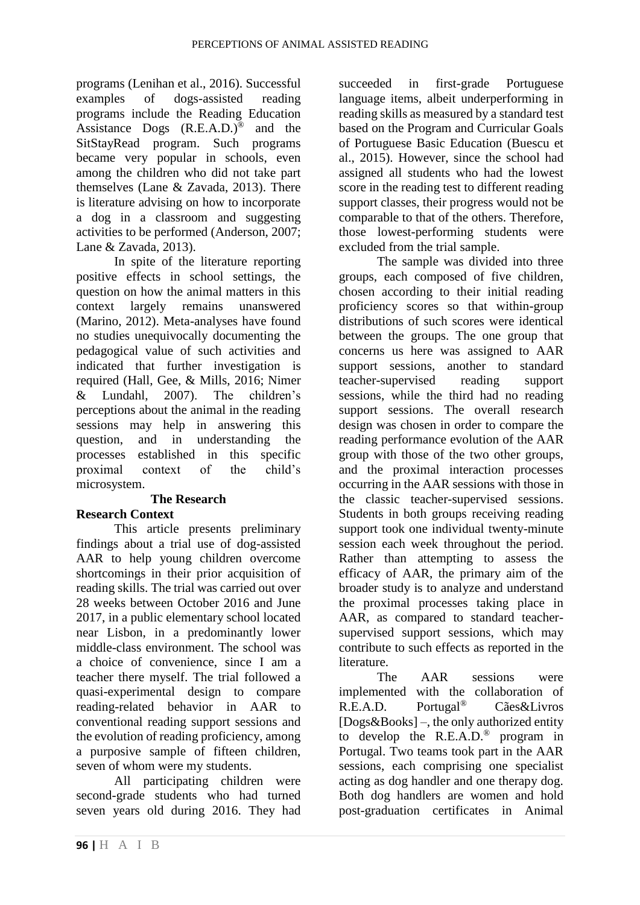programs (Lenihan et al., 2016). Successful examples of dogs-assisted reading programs include the Reading Education Assistance Dogs  $(R.E.A.D.)^{\circledR}$  and the SitStayRead program. Such programs became very popular in schools, even among the children who did not take part themselves (Lane & Zavada, 2013). There is literature advising on how to incorporate a dog in a classroom and suggesting activities to be performed (Anderson, 2007; Lane & Zavada, 2013).

In spite of the literature reporting positive effects in school settings, the question on how the animal matters in this context largely remains unanswered (Marino, 2012). Meta-analyses have found no studies unequivocally documenting the pedagogical value of such activities and indicated that further investigation is required (Hall, Gee, & Mills, 2016; Nimer & Lundahl, 2007). The children's perceptions about the animal in the reading sessions may help in answering this question, and in understanding the processes established in this specific proximal context of the child's microsystem.

## **The Research**

## **Research Context**

This article presents preliminary findings about a trial use of dog-assisted AAR to help young children overcome shortcomings in their prior acquisition of reading skills. The trial was carried out over 28 weeks between October 2016 and June 2017, in a public elementary school located near Lisbon, in a predominantly lower middle-class environment. The school was a choice of convenience, since I am a teacher there myself. The trial followed a quasi-experimental design to compare reading-related behavior in AAR to conventional reading support sessions and the evolution of reading proficiency, among a purposive sample of fifteen children, seven of whom were my students.

All participating children were second-grade students who had turned seven years old during 2016. They had succeeded in first-grade Portuguese language items, albeit underperforming in reading skills as measured by a standard test based on the Program and Curricular Goals of Portuguese Basic Education (Buescu et al., 2015). However, since the school had assigned all students who had the lowest score in the reading test to different reading support classes, their progress would not be comparable to that of the others. Therefore, those lowest-performing students were excluded from the trial sample.

The sample was divided into three groups, each composed of five children, chosen according to their initial reading proficiency scores so that within-group distributions of such scores were identical between the groups. The one group that concerns us here was assigned to AAR support sessions, another to standard teacher-supervised reading support sessions, while the third had no reading support sessions. The overall research design was chosen in order to compare the reading performance evolution of the AAR group with those of the two other groups, and the proximal interaction processes occurring in the AAR sessions with those in the classic teacher-supervised sessions. Students in both groups receiving reading support took one individual twenty-minute session each week throughout the period. Rather than attempting to assess the efficacy of AAR, the primary aim of the broader study is to analyze and understand the proximal processes taking place in AAR, as compared to standard teachersupervised support sessions, which may contribute to such effects as reported in the literature.

The AAR sessions were implemented with the collaboration of R.E.A.D. Portugal® Cães&Livros [Dogs&Books] –, the only authorized entity to develop the R.E.A.D.® program in Portugal. Two teams took part in the AAR sessions, each comprising one specialist acting as dog handler and one therapy dog. Both dog handlers are women and hold post-graduation certificates in Animal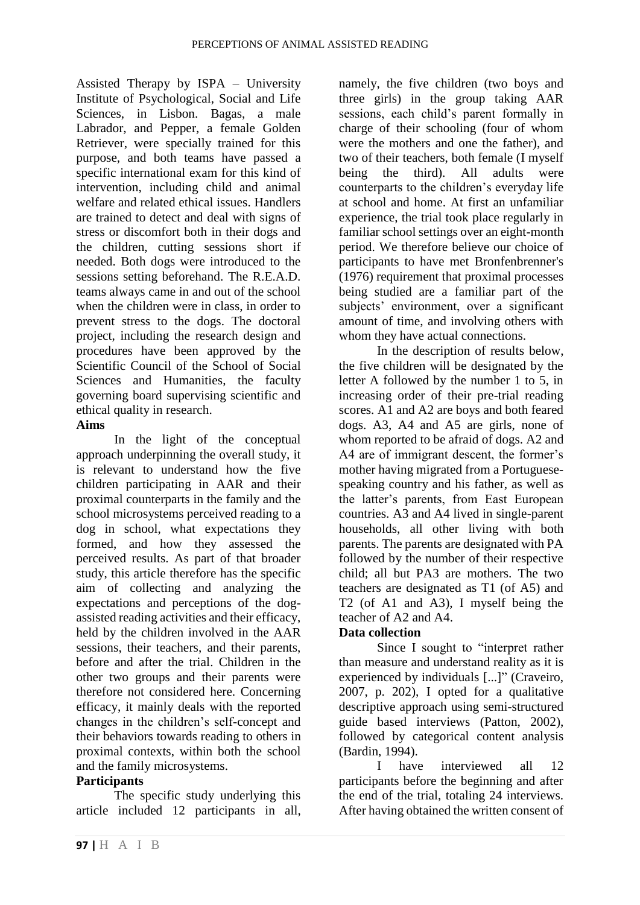Assisted Therapy by ISPA – University Institute of Psychological, Social and Life Sciences, in Lisbon. Bagas, a male Labrador, and Pepper, a female Golden Retriever, were specially trained for this purpose, and both teams have passed a specific international exam for this kind of intervention, including child and animal welfare and related ethical issues. Handlers are trained to detect and deal with signs of stress or discomfort both in their dogs and the children, cutting sessions short if needed. Both dogs were introduced to the sessions setting beforehand. The R.E.A.D. teams always came in and out of the school when the children were in class, in order to prevent stress to the dogs. The doctoral project, including the research design and procedures have been approved by the Scientific Council of the School of Social Sciences and Humanities, the faculty governing board supervising scientific and ethical quality in research.

#### **Aims**

In the light of the conceptual approach underpinning the overall study, it is relevant to understand how the five children participating in AAR and their proximal counterparts in the family and the school microsystems perceived reading to a dog in school, what expectations they formed, and how they assessed the perceived results. As part of that broader study, this article therefore has the specific aim of collecting and analyzing the expectations and perceptions of the dogassisted reading activities and their efficacy, held by the children involved in the AAR sessions, their teachers, and their parents, before and after the trial. Children in the other two groups and their parents were therefore not considered here. Concerning efficacy, it mainly deals with the reported changes in the children's self-concept and their behaviors towards reading to others in proximal contexts, within both the school and the family microsystems.

## **Participants**

The specific study underlying this article included 12 participants in all,

namely, the five children (two boys and three girls) in the group taking AAR sessions, each child's parent formally in charge of their schooling (four of whom were the mothers and one the father), and two of their teachers, both female (I myself being the third). All adults were counterparts to the children's everyday life at school and home. At first an unfamiliar experience, the trial took place regularly in familiar school settings over an eight-month period. We therefore believe our choice of participants to have met Bronfenbrenner's (1976) requirement that proximal processes being studied are a familiar part of the subjects' environment, over a significant amount of time, and involving others with whom they have actual connections.

In the description of results below, the five children will be designated by the letter A followed by the number 1 to 5, in increasing order of their pre-trial reading scores. A1 and A2 are boys and both feared dogs. A3, A4 and A5 are girls, none of whom reported to be afraid of dogs. A2 and A4 are of immigrant descent, the former's mother having migrated from a Portuguesespeaking country and his father, as well as the latter's parents, from East European countries. A3 and A4 lived in single-parent households, all other living with both parents. The parents are designated with PA followed by the number of their respective child; all but PA3 are mothers. The two teachers are designated as T1 (of A5) and T2 (of A1 and A3), I myself being the teacher of A2 and A4.

## **Data collection**

Since I sought to "interpret rather than measure and understand reality as it is experienced by individuals [...]" (Craveiro, 2007, p. 202), I opted for a qualitative descriptive approach using semi-structured guide based interviews (Patton, 2002), followed by categorical content analysis (Bardin, 1994).

have interviewed all 12 participants before the beginning and after the end of the trial, totaling 24 interviews. After having obtained the written consent of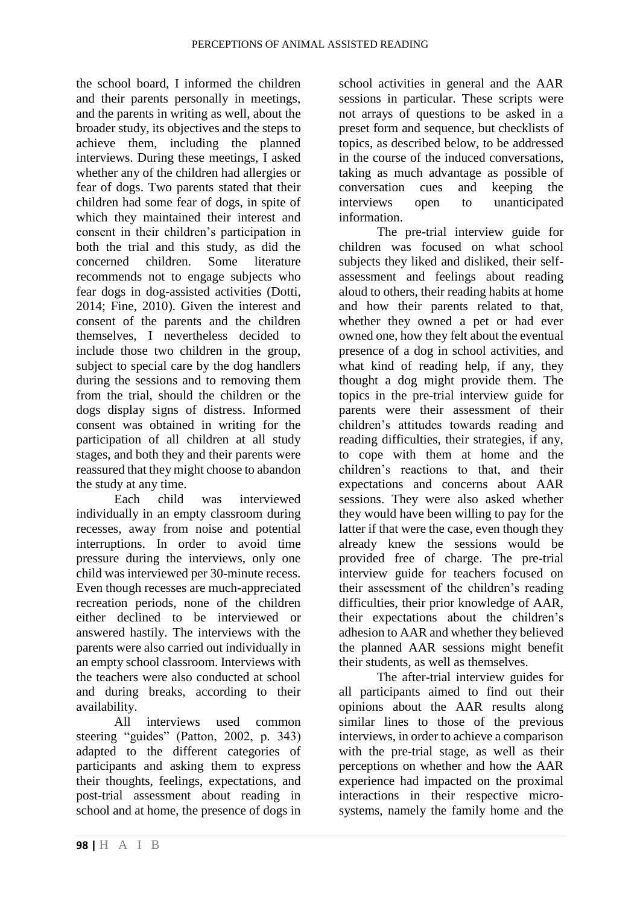the school board, I informed the children and their parents personally in meetings, and the parents in writing as well, about the broader study, its objectives and the steps to achieve them, including the planned interviews. During these meetings, I asked whether any of the children had allergies or fear of dogs. Two parents stated that their children had some fear of dogs, in spite of which they maintained their interest and consent in their children's participation in both the trial and this study, as did the concerned children. Some literature recommends not to engage subjects who fear dogs in dog-assisted activities (Dotti, 2014; Fine, 2010). Given the interest and consent of the parents and the children themselves, I nevertheless decided to include those two children in the group, subject to special care by the dog handlers during the sessions and to removing them from the trial, should the children or the dogs display signs of distress. Informed consent was obtained in writing for the participation of all children at all study stages, and both they and their parents were reassured that they might choose to abandon the study at any time.

Each child was interviewed individually in an empty classroom during recesses, away from noise and potential interruptions. In order to avoid time pressure during the interviews, only one child was interviewed per 30-minute recess. Even though recesses are much-appreciated recreation periods, none of the children either declined to be interviewed or answered hastily. The interviews with the parents were also carried out individually in an empty school classroom. Interviews with the teachers were also conducted at school and during breaks, according to their availability.

All interviews used common steering "guides" (Patton, 2002, p. 343) adapted to the different categories of participants and asking them to express their thoughts, feelings, expectations, and post-trial assessment about reading in school and at home, the presence of dogs in

school activities in general and the AAR sessions in particular. These scripts were not arrays of questions to be asked in a preset form and sequence, but checklists of topics, as described below, to be addressed in the course of the induced conversations, taking as much advantage as possible of conversation cues and keeping the interviews open to unanticipated information.

The pre-trial interview guide for children was focused on what school subjects they liked and disliked, their selfassessment and feelings about reading aloud to others, their reading habits at home and how their parents related to that, whether they owned a pet or had ever owned one, how they felt about the eventual presence of a dog in school activities, and what kind of reading help, if any, they thought a dog might provide them. The topics in the pre-trial interview guide for parents were their assessment of their children's attitudes towards reading and reading difficulties, their strategies, if any, to cope with them at home and the children's reactions to that, and their expectations and concerns about AAR sessions. They were also asked whether they would have been willing to pay for the latter if that were the case, even though they already knew the sessions would be provided free of charge. The pre-trial interview guide for teachers focused on their assessment of the children's reading difficulties, their prior knowledge of AAR, their expectations about the children's adhesion to AAR and whether they believed the planned AAR sessions might benefit their students, as well as themselves.

The after-trial interview guides for all participants aimed to find out their opinions about the AAR results along similar lines to those of the previous interviews, in order to achieve a comparison with the pre-trial stage, as well as their perceptions on whether and how the AAR experience had impacted on the proximal interactions in their respective microsystems, namely the family home and the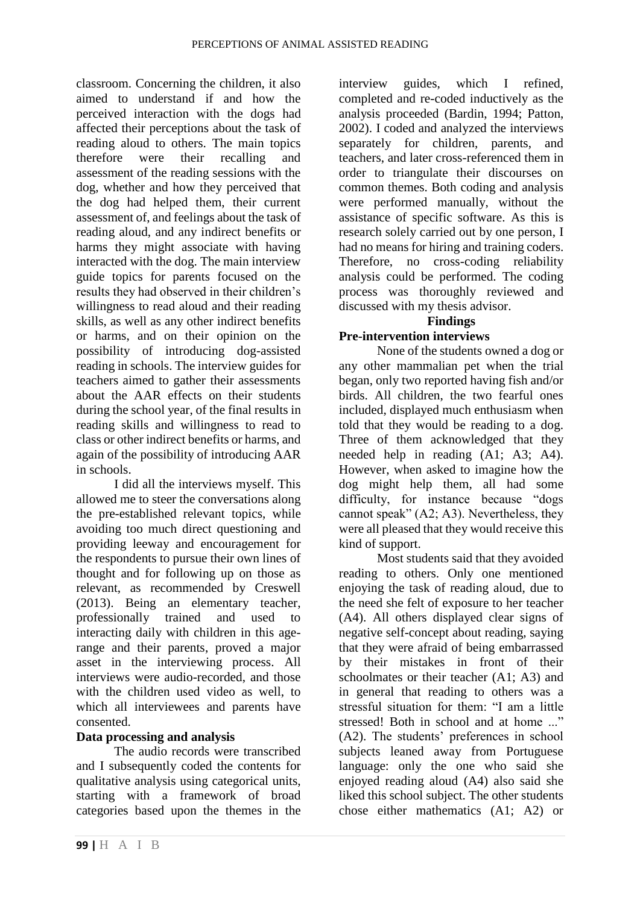classroom. Concerning the children, it also aimed to understand if and how the perceived interaction with the dogs had affected their perceptions about the task of reading aloud to others. The main topics therefore were their recalling and assessment of the reading sessions with the dog, whether and how they perceived that the dog had helped them, their current assessment of, and feelings about the task of reading aloud, and any indirect benefits or harms they might associate with having interacted with the dog. The main interview guide topics for parents focused on the results they had observed in their children's willingness to read aloud and their reading skills, as well as any other indirect benefits or harms, and on their opinion on the possibility of introducing dog-assisted reading in schools. The interview guides for teachers aimed to gather their assessments about the AAR effects on their students during the school year, of the final results in reading skills and willingness to read to class or other indirect benefits or harms, and again of the possibility of introducing AAR in schools.

I did all the interviews myself. This allowed me to steer the conversations along the pre-established relevant topics, while avoiding too much direct questioning and providing leeway and encouragement for the respondents to pursue their own lines of thought and for following up on those as relevant, as recommended by Creswell (2013). Being an elementary teacher, professionally trained and used to interacting daily with children in this agerange and their parents, proved a major asset in the interviewing process. All interviews were audio-recorded, and those with the children used video as well, to which all interviewees and parents have consented.

## **Data processing and analysis**

The audio records were transcribed and I subsequently coded the contents for qualitative analysis using categorical units, starting with a framework of broad categories based upon the themes in the

interview guides, which I refined, completed and re-coded inductively as the analysis proceeded (Bardin, 1994; Patton, 2002). I coded and analyzed the interviews separately for children, parents, and teachers, and later cross-referenced them in order to triangulate their discourses on common themes. Both coding and analysis were performed manually, without the assistance of specific software. As this is research solely carried out by one person, I had no means for hiring and training coders. Therefore, no cross-coding reliability analysis could be performed. The coding process was thoroughly reviewed and discussed with my thesis advisor.

#### **Findings Pre-intervention interviews**

None of the students owned a dog or any other mammalian pet when the trial began, only two reported having fish and/or birds. All children, the two fearful ones included, displayed much enthusiasm when told that they would be reading to a dog. Three of them acknowledged that they needed help in reading (A1; A3; A4). However, when asked to imagine how the dog might help them, all had some difficulty, for instance because "dogs cannot speak" (A2; A3). Nevertheless, they were all pleased that they would receive this kind of support.

Most students said that they avoided reading to others. Only one mentioned enjoying the task of reading aloud, due to the need she felt of exposure to her teacher (A4). All others displayed clear signs of negative self-concept about reading, saying that they were afraid of being embarrassed by their mistakes in front of their schoolmates or their teacher (A1; A3) and in general that reading to others was a stressful situation for them: "I am a little stressed! Both in school and at home ..." (A2). The students' preferences in school subjects leaned away from Portuguese language: only the one who said she enjoyed reading aloud (A4) also said she liked this school subject. The other students chose either mathematics (A1; A2) or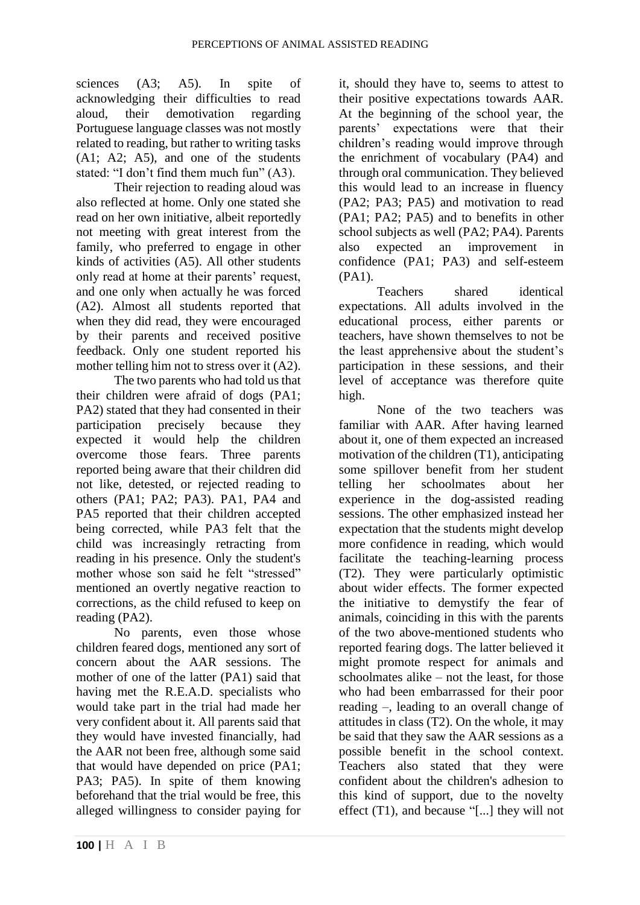sciences (A3; A5). In spite of acknowledging their difficulties to read aloud, their demotivation regarding Portuguese language classes was not mostly related to reading, but rather to writing tasks (A1; A2; A5), and one of the students stated: "I don't find them much fun" (A3).

Their rejection to reading aloud was also reflected at home. Only one stated she read on her own initiative, albeit reportedly not meeting with great interest from the family, who preferred to engage in other kinds of activities (A5). All other students only read at home at their parents' request, and one only when actually he was forced (A2). Almost all students reported that when they did read, they were encouraged by their parents and received positive feedback. Only one student reported his mother telling him not to stress over it (A2).

The two parents who had told us that their children were afraid of dogs (PA1; PA2) stated that they had consented in their participation precisely because they expected it would help the children overcome those fears. Three parents reported being aware that their children did not like, detested, or rejected reading to others (PA1; PA2; PA3). PA1, PA4 and PA5 reported that their children accepted being corrected, while PA3 felt that the child was increasingly retracting from reading in his presence. Only the student's mother whose son said he felt "stressed" mentioned an overtly negative reaction to corrections, as the child refused to keep on reading (PA2).

No parents, even those whose children feared dogs, mentioned any sort of concern about the AAR sessions. The mother of one of the latter (PA1) said that having met the R.E.A.D. specialists who would take part in the trial had made her very confident about it. All parents said that they would have invested financially, had the AAR not been free, although some said that would have depended on price (PA1; PA3: PA5). In spite of them knowing beforehand that the trial would be free, this alleged willingness to consider paying for

it, should they have to, seems to attest to their positive expectations towards AAR. At the beginning of the school year, the parents' expectations were that their children's reading would improve through the enrichment of vocabulary (PA4) and through oral communication. They believed this would lead to an increase in fluency (PA2; PA3; PA5) and motivation to read (PA1; PA2; PA5) and to benefits in other school subjects as well (PA2; PA4). Parents also expected an improvement in confidence (PA1; PA3) and self-esteem (PA1).

Teachers shared identical expectations. All adults involved in the educational process, either parents or teachers, have shown themselves to not be the least apprehensive about the student's participation in these sessions, and their level of acceptance was therefore quite high.

None of the two teachers was familiar with AAR. After having learned about it, one of them expected an increased motivation of the children (T1), anticipating some spillover benefit from her student telling her schoolmates about her experience in the dog-assisted reading sessions. The other emphasized instead her expectation that the students might develop more confidence in reading, which would facilitate the teaching-learning process (T2). They were particularly optimistic about wider effects. The former expected the initiative to demystify the fear of animals, coinciding in this with the parents of the two above-mentioned students who reported fearing dogs. The latter believed it might promote respect for animals and schoolmates alike – not the least, for those who had been embarrassed for their poor reading –, leading to an overall change of attitudes in class (T2). On the whole, it may be said that they saw the AAR sessions as a possible benefit in the school context. Teachers also stated that they were confident about the children's adhesion to this kind of support, due to the novelty effect (T1), and because "[...] they will not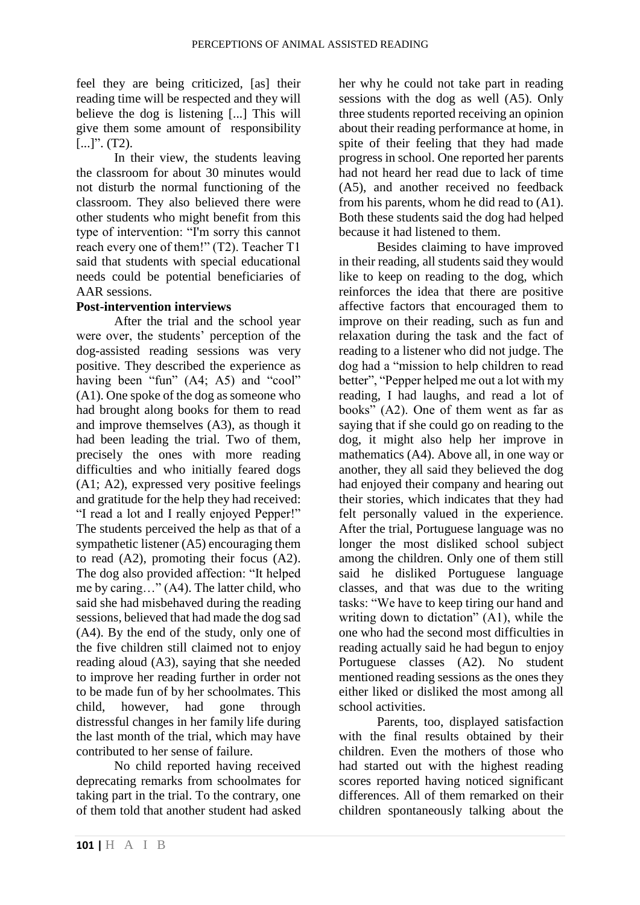feel they are being criticized, [as] their reading time will be respected and they will believe the dog is listening [...] This will give them some amount of responsibility  $[...]$ ". (T2).

In their view, the students leaving the classroom for about 30 minutes would not disturb the normal functioning of the classroom. They also believed there were other students who might benefit from this type of intervention: "I'm sorry this cannot reach every one of them!" (T2). Teacher T1 said that students with special educational needs could be potential beneficiaries of AAR sessions.

### **Post-intervention interviews**

After the trial and the school year were over, the students' perception of the dog-assisted reading sessions was very positive. They described the experience as having been "fun" (A4; A5) and "cool" (A1). One spoke of the dog as someone who had brought along books for them to read and improve themselves (A3), as though it had been leading the trial. Two of them, precisely the ones with more reading difficulties and who initially feared dogs (A1; A2), expressed very positive feelings and gratitude for the help they had received: "I read a lot and I really enjoyed Pepper!" The students perceived the help as that of a sympathetic listener (A5) encouraging them to read (A2), promoting their focus (A2). The dog also provided affection: "It helped me by caring…" (A4). The latter child, who said she had misbehaved during the reading sessions, believed that had made the dog sad (A4). By the end of the study, only one of the five children still claimed not to enjoy reading aloud (A3), saying that she needed to improve her reading further in order not to be made fun of by her schoolmates. This child, however, had gone through distressful changes in her family life during the last month of the trial, which may have contributed to her sense of failure.

No child reported having received deprecating remarks from schoolmates for taking part in the trial. To the contrary, one of them told that another student had asked

her why he could not take part in reading sessions with the dog as well (A5). Only three students reported receiving an opinion about their reading performance at home, in spite of their feeling that they had made progress in school. One reported her parents had not heard her read due to lack of time (A5), and another received no feedback from his parents, whom he did read to (A1). Both these students said the dog had helped because it had listened to them.

Besides claiming to have improved in their reading, all students said they would like to keep on reading to the dog, which reinforces the idea that there are positive affective factors that encouraged them to improve on their reading, such as fun and relaxation during the task and the fact of reading to a listener who did not judge. The dog had a "mission to help children to read better", "Pepper helped me out a lot with my reading, I had laughs, and read a lot of books" (A2). One of them went as far as saying that if she could go on reading to the dog, it might also help her improve in mathematics (A4). Above all, in one way or another, they all said they believed the dog had enjoyed their company and hearing out their stories, which indicates that they had felt personally valued in the experience. After the trial, Portuguese language was no longer the most disliked school subject among the children. Only one of them still said he disliked Portuguese language classes, and that was due to the writing tasks: "We have to keep tiring our hand and writing down to dictation" (A1), while the one who had the second most difficulties in reading actually said he had begun to enjoy Portuguese classes (A2). No student mentioned reading sessions as the ones they either liked or disliked the most among all school activities.

Parents, too, displayed satisfaction with the final results obtained by their children. Even the mothers of those who had started out with the highest reading scores reported having noticed significant differences. All of them remarked on their children spontaneously talking about the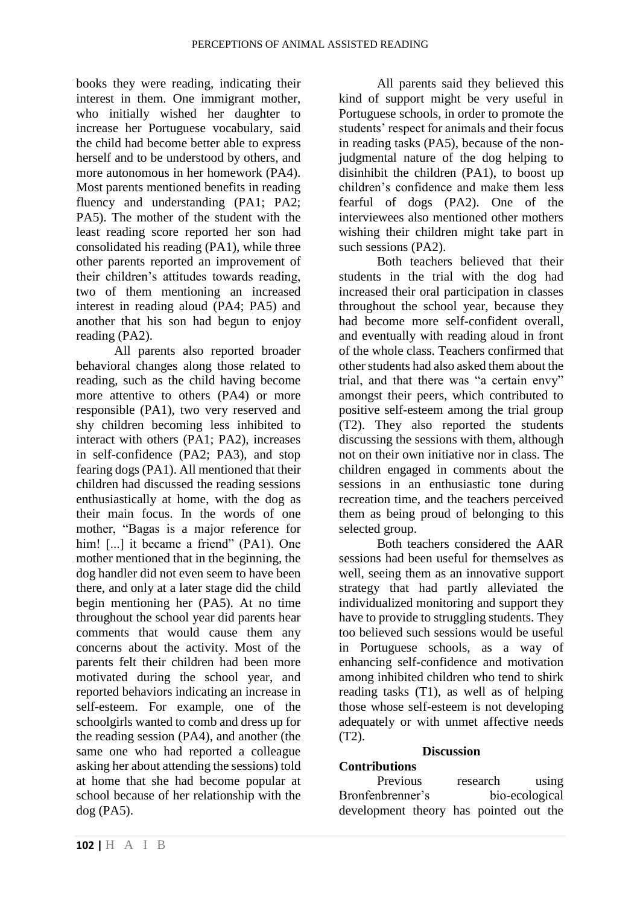books they were reading, indicating their interest in them. One immigrant mother, who initially wished her daughter to increase her Portuguese vocabulary, said the child had become better able to express herself and to be understood by others, and more autonomous in her homework (PA4). Most parents mentioned benefits in reading fluency and understanding (PA1; PA2; PA5). The mother of the student with the least reading score reported her son had consolidated his reading (PA1), while three other parents reported an improvement of their children's attitudes towards reading, two of them mentioning an increased interest in reading aloud (PA4; PA5) and another that his son had begun to enjoy reading (PA2).

All parents also reported broader behavioral changes along those related to reading, such as the child having become more attentive to others (PA4) or more responsible (PA1), two very reserved and shy children becoming less inhibited to interact with others (PA1; PA2), increases in self-confidence (PA2; PA3), and stop fearing dogs (PA1). All mentioned that their children had discussed the reading sessions enthusiastically at home, with the dog as their main focus. In the words of one mother, "Bagas is a major reference for him! [...] it became a friend" (PA1). One mother mentioned that in the beginning, the dog handler did not even seem to have been there, and only at a later stage did the child begin mentioning her (PA5). At no time throughout the school year did parents hear comments that would cause them any concerns about the activity. Most of the parents felt their children had been more motivated during the school year, and reported behaviors indicating an increase in self-esteem. For example, one of the schoolgirls wanted to comb and dress up for the reading session (PA4), and another (the same one who had reported a colleague asking her about attending the sessions) told at home that she had become popular at school because of her relationship with the dog (PA5).

All parents said they believed this kind of support might be very useful in Portuguese schools, in order to promote the students' respect for animals and their focus in reading tasks (PA5), because of the nonjudgmental nature of the dog helping to disinhibit the children (PA1), to boost up children's confidence and make them less fearful of dogs (PA2). One of the interviewees also mentioned other mothers wishing their children might take part in such sessions (PA2).

Both teachers believed that their students in the trial with the dog had increased their oral participation in classes throughout the school year, because they had become more self-confident overall, and eventually with reading aloud in front of the whole class. Teachers confirmed that other students had also asked them about the trial, and that there was "a certain envy" amongst their peers, which contributed to positive self-esteem among the trial group (T2). They also reported the students discussing the sessions with them, although not on their own initiative nor in class. The children engaged in comments about the sessions in an enthusiastic tone during recreation time, and the teachers perceived them as being proud of belonging to this selected group.

Both teachers considered the AAR sessions had been useful for themselves as well, seeing them as an innovative support strategy that had partly alleviated the individualized monitoring and support they have to provide to struggling students. They too believed such sessions would be useful in Portuguese schools, as a way of enhancing self-confidence and motivation among inhibited children who tend to shirk reading tasks (T1), as well as of helping those whose self-esteem is not developing adequately or with unmet affective needs (T2).

#### **Discussion**

## **Contributions**

Previous research using Bronfenbrenner's bio-ecological development theory has pointed out the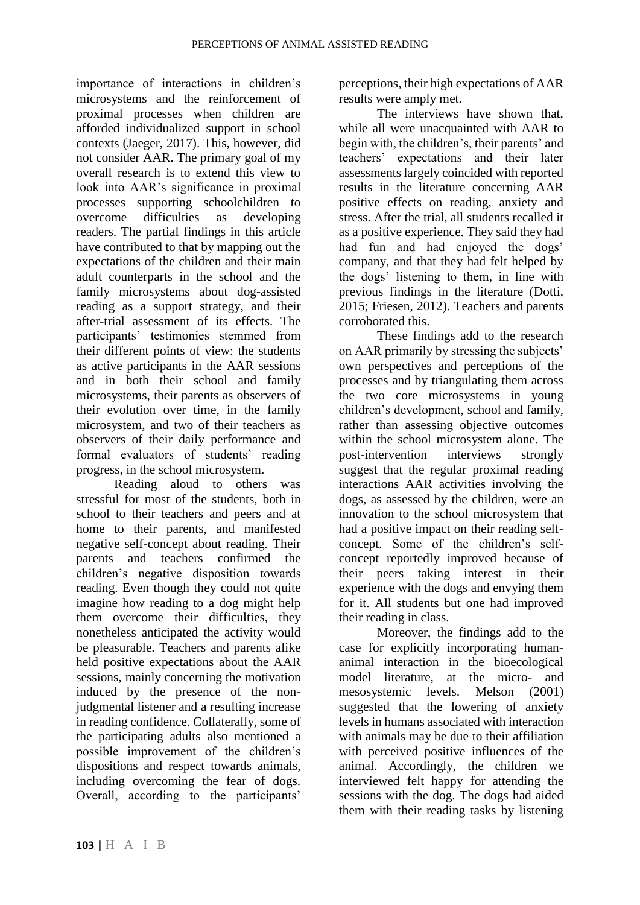importance of interactions in children's microsystems and the reinforcement of proximal processes when children are afforded individualized support in school contexts (Jaeger, 2017). This, however, did not consider AAR. The primary goal of my overall research is to extend this view to look into AAR's significance in proximal processes supporting schoolchildren to overcome difficulties as developing readers. The partial findings in this article have contributed to that by mapping out the expectations of the children and their main adult counterparts in the school and the family microsystems about dog-assisted reading as a support strategy, and their after-trial assessment of its effects. The participants' testimonies stemmed from their different points of view: the students as active participants in the AAR sessions and in both their school and family microsystems, their parents as observers of their evolution over time, in the family microsystem, and two of their teachers as observers of their daily performance and formal evaluators of students' reading progress, in the school microsystem.

Reading aloud to others was stressful for most of the students, both in school to their teachers and peers and at home to their parents, and manifested negative self-concept about reading. Their parents and teachers confirmed the children's negative disposition towards reading. Even though they could not quite imagine how reading to a dog might help them overcome their difficulties, they nonetheless anticipated the activity would be pleasurable. Teachers and parents alike held positive expectations about the AAR sessions, mainly concerning the motivation induced by the presence of the nonjudgmental listener and a resulting increase in reading confidence. Collaterally, some of the participating adults also mentioned a possible improvement of the children's dispositions and respect towards animals, including overcoming the fear of dogs. Overall, according to the participants'

perceptions, their high expectations of AAR results were amply met.

The interviews have shown that, while all were unacquainted with AAR to begin with, the children's, their parents' and teachers' expectations and their later assessments largely coincided with reported results in the literature concerning AAR positive effects on reading, anxiety and stress. After the trial, all students recalled it as a positive experience. They said they had had fun and had enjoyed the dogs' company, and that they had felt helped by the dogs' listening to them, in line with previous findings in the literature (Dotti, 2015; Friesen, 2012). Teachers and parents corroborated this.

These findings add to the research on AAR primarily by stressing the subjects' own perspectives and perceptions of the processes and by triangulating them across the two core microsystems in young children's development, school and family, rather than assessing objective outcomes within the school microsystem alone. The post-intervention interviews strongly suggest that the regular proximal reading interactions AAR activities involving the dogs, as assessed by the children, were an innovation to the school microsystem that had a positive impact on their reading selfconcept. Some of the children's selfconcept reportedly improved because of their peers taking interest in their experience with the dogs and envying them for it. All students but one had improved their reading in class.

Moreover, the findings add to the case for explicitly incorporating humananimal interaction in the bioecological model literature, at the micro- and mesosystemic levels. Melson (2001) suggested that the lowering of anxiety levels in humans associated with interaction with animals may be due to their affiliation with perceived positive influences of the animal. Accordingly, the children we interviewed felt happy for attending the sessions with the dog. The dogs had aided them with their reading tasks by listening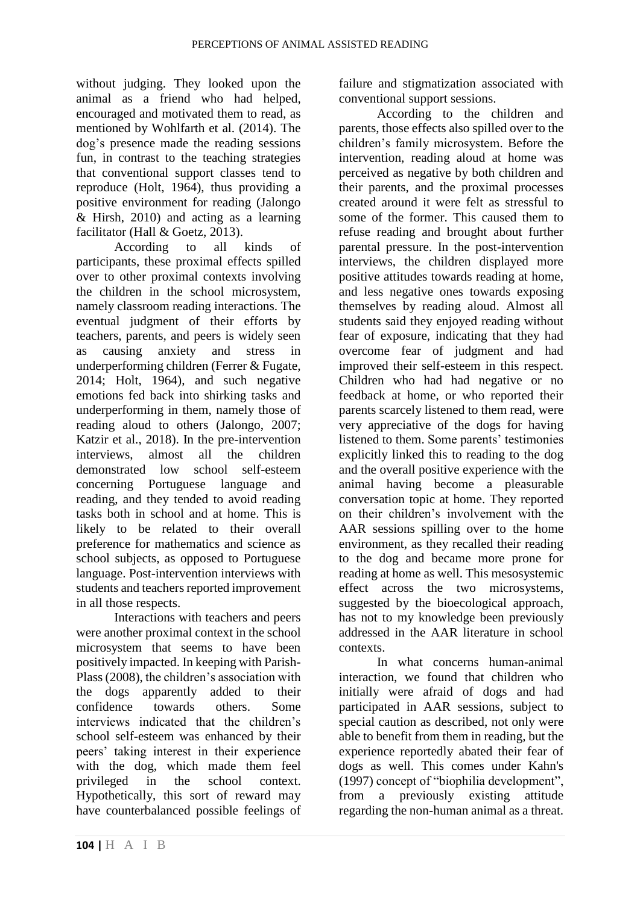without judging. They looked upon the animal as a friend who had helped, encouraged and motivated them to read, as mentioned by Wohlfarth et al. (2014). The dog's presence made the reading sessions fun, in contrast to the teaching strategies that conventional support classes tend to reproduce (Holt, 1964), thus providing a positive environment for reading (Jalongo & Hirsh, 2010) and acting as a learning facilitator (Hall & Goetz, 2013).

According to all kinds of participants, these proximal effects spilled over to other proximal contexts involving the children in the school microsystem, namely classroom reading interactions. The eventual judgment of their efforts by teachers, parents, and peers is widely seen as causing anxiety and stress in underperforming children (Ferrer & Fugate, 2014; Holt, 1964), and such negative emotions fed back into shirking tasks and underperforming in them, namely those of reading aloud to others (Jalongo, 2007; Katzir et al., 2018). In the pre-intervention interviews, almost all the children demonstrated low school self-esteem concerning Portuguese language and reading, and they tended to avoid reading tasks both in school and at home. This is likely to be related to their overall preference for mathematics and science as school subjects, as opposed to Portuguese language. Post-intervention interviews with students and teachers reported improvement in all those respects.

Interactions with teachers and peers were another proximal context in the school microsystem that seems to have been positively impacted. In keeping with Parish-Plass (2008), the children's association with the dogs apparently added to their confidence towards others. Some interviews indicated that the children's school self-esteem was enhanced by their peers' taking interest in their experience with the dog, which made them feel privileged in the school context. Hypothetically, this sort of reward may have counterbalanced possible feelings of failure and stigmatization associated with conventional support sessions.

According to the children and parents, those effects also spilled over to the children's family microsystem. Before the intervention, reading aloud at home was perceived as negative by both children and their parents, and the proximal processes created around it were felt as stressful to some of the former. This caused them to refuse reading and brought about further parental pressure. In the post-intervention interviews, the children displayed more positive attitudes towards reading at home, and less negative ones towards exposing themselves by reading aloud. Almost all students said they enjoyed reading without fear of exposure, indicating that they had overcome fear of judgment and had improved their self-esteem in this respect. Children who had had negative or no feedback at home, or who reported their parents scarcely listened to them read, were very appreciative of the dogs for having listened to them. Some parents' testimonies explicitly linked this to reading to the dog and the overall positive experience with the animal having become a pleasurable conversation topic at home. They reported on their children's involvement with the AAR sessions spilling over to the home environment, as they recalled their reading to the dog and became more prone for reading at home as well. This mesosystemic effect across the two microsystems, suggested by the bioecological approach, has not to my knowledge been previously addressed in the AAR literature in school contexts.

In what concerns human-animal interaction, we found that children who initially were afraid of dogs and had participated in AAR sessions, subject to special caution as described, not only were able to benefit from them in reading, but the experience reportedly abated their fear of dogs as well. This comes under Kahn's (1997) concept of "biophilia development", from a previously existing attitude regarding the non-human animal as a threat.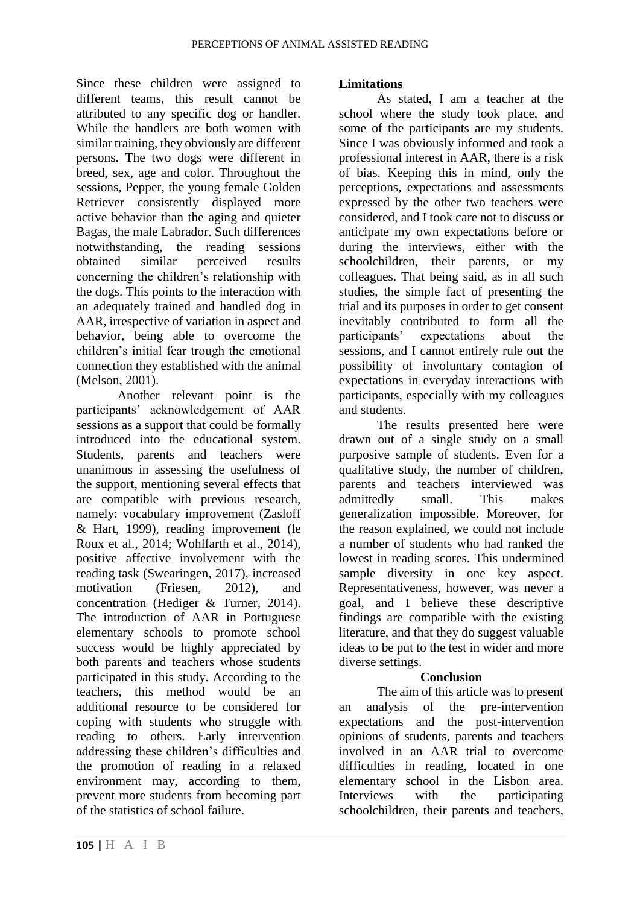Since these children were assigned to different teams, this result cannot be attributed to any specific dog or handler. While the handlers are both women with similar training, they obviously are different persons. The two dogs were different in breed, sex, age and color. Throughout the sessions, Pepper, the young female Golden Retriever consistently displayed more active behavior than the aging and quieter Bagas, the male Labrador. Such differences notwithstanding, the reading sessions obtained similar perceived results concerning the children's relationship with the dogs. This points to the interaction with an adequately trained and handled dog in AAR, irrespective of variation in aspect and behavior, being able to overcome the children's initial fear trough the emotional connection they established with the animal (Melson, 2001).

Another relevant point is the participants' acknowledgement of AAR sessions as a support that could be formally introduced into the educational system. Students, parents and teachers were unanimous in assessing the usefulness of the support, mentioning several effects that are compatible with previous research, namely: vocabulary improvement (Zasloff & Hart, 1999), reading improvement (le Roux et al., 2014; Wohlfarth et al., 2014), positive affective involvement with the reading task (Swearingen, 2017), increased motivation (Friesen, 2012), and concentration (Hediger & Turner, 2014). The introduction of AAR in Portuguese elementary schools to promote school success would be highly appreciated by both parents and teachers whose students participated in this study. According to the teachers, this method would be an additional resource to be considered for coping with students who struggle with reading to others. Early intervention addressing these children's difficulties and the promotion of reading in a relaxed environment may, according to them, prevent more students from becoming part of the statistics of school failure.

#### **105 |** H A I B

#### **Limitations**

As stated, I am a teacher at the school where the study took place, and some of the participants are my students. Since I was obviously informed and took a professional interest in AAR, there is a risk of bias. Keeping this in mind, only the perceptions, expectations and assessments expressed by the other two teachers were considered, and I took care not to discuss or anticipate my own expectations before or during the interviews, either with the schoolchildren, their parents, or my colleagues. That being said, as in all such studies, the simple fact of presenting the trial and its purposes in order to get consent inevitably contributed to form all the participants' expectations about the sessions, and I cannot entirely rule out the possibility of involuntary contagion of expectations in everyday interactions with participants, especially with my colleagues and students.

The results presented here were drawn out of a single study on a small purposive sample of students. Even for a qualitative study, the number of children, parents and teachers interviewed was admittedly small. This makes generalization impossible. Moreover, for the reason explained, we could not include a number of students who had ranked the lowest in reading scores. This undermined sample diversity in one key aspect. Representativeness, however, was never a goal, and I believe these descriptive findings are compatible with the existing literature, and that they do suggest valuable ideas to be put to the test in wider and more diverse settings.

#### **Conclusion**

The aim of this article was to present an analysis of the pre-intervention expectations and the post-intervention opinions of students, parents and teachers involved in an AAR trial to overcome difficulties in reading, located in one elementary school in the Lisbon area. Interviews with the participating schoolchildren, their parents and teachers,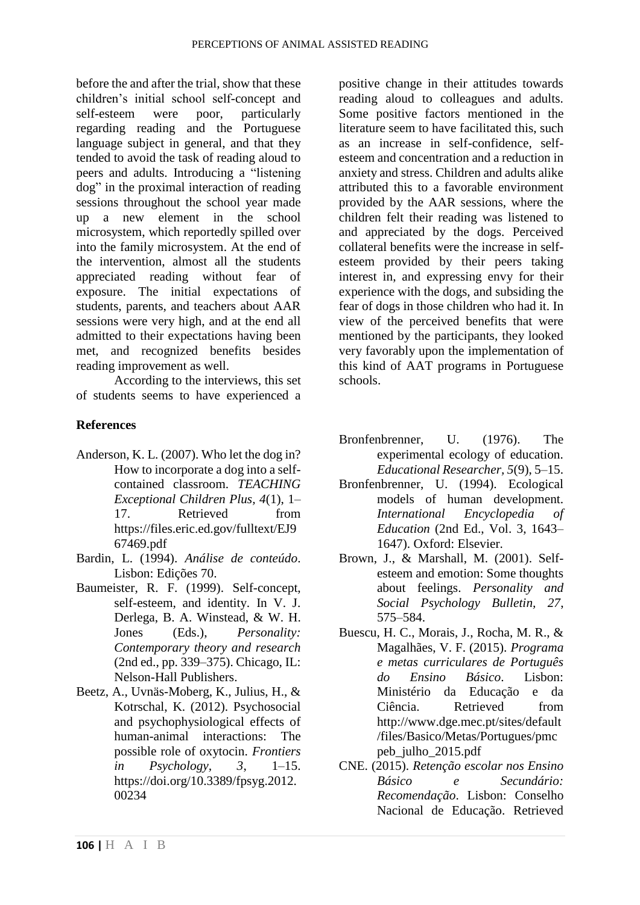before the and after the trial, show that these children's initial school self-concept and self-esteem were poor, particularly regarding reading and the Portuguese language subject in general, and that they tended to avoid the task of reading aloud to peers and adults. Introducing a "listening dog" in the proximal interaction of reading sessions throughout the school year made up a new element in the school microsystem, which reportedly spilled over into the family microsystem. At the end of the intervention, almost all the students appreciated reading without fear of exposure. The initial expectations of students, parents, and teachers about AAR sessions were very high, and at the end all admitted to their expectations having been met, and recognized benefits besides reading improvement as well.

According to the interviews, this set of students seems to have experienced a

### **References**

- Anderson, K. L. (2007). Who let the dog in? How to incorporate a dog into a selfcontained classroom. *TEACHING Exceptional Children Plus, 4*(1), 1– 17. Retrieved from https://files.eric.ed.gov/fulltext/EJ9 67469.pdf
- Bardin, L. (1994). *Análise de conteúdo*. Lisbon: Edições 70.
- Baumeister, R. F. (1999). Self-concept, self-esteem, and identity. In V. J. Derlega, B. A. Winstead, & W. H. Jones (Eds.), *Personality: Contemporary theory and research* (2nd ed., pp. 339–375). Chicago, IL: Nelson-Hall Publishers.
- Beetz, A., Uvnäs-Moberg, K., Julius, H., & Kotrschal, K. (2012). Psychosocial and psychophysiological effects of human-animal interactions: The possible role of oxytocin. *Frontiers in Psychology, 3*, 1–15. https://doi.org/10.3389/fpsyg.2012. 00234

positive change in their attitudes towards reading aloud to colleagues and adults. Some positive factors mentioned in the literature seem to have facilitated this, such as an increase in self-confidence, selfesteem and concentration and a reduction in anxiety and stress. Children and adults alike attributed this to a favorable environment provided by the AAR sessions, where the children felt their reading was listened to and appreciated by the dogs. Perceived collateral benefits were the increase in selfesteem provided by their peers taking interest in, and expressing envy for their experience with the dogs, and subsiding the fear of dogs in those children who had it. In view of the perceived benefits that were mentioned by the participants, they looked very favorably upon the implementation of this kind of AAT programs in Portuguese schools.

- Bronfenbrenner, U. (1976). The experimental ecology of education. *Educational Researcher, 5*(9), 5–15.
- Bronfenbrenner, U. (1994). Ecological models of human development. *International Encyclopedia of Education* (2nd Ed., Vol. 3, 1643– 1647). Oxford: Elsevier.
- Brown, J., & Marshall, M. (2001). Selfesteem and emotion: Some thoughts about feelings. *Personality and Social Psychology Bulletin, 27*, 575–584.
- Buescu, H. C., Morais, J., Rocha, M. R., & Magalhães, V. F. (2015). *Programa e metas curriculares de Português do Ensino Básico*. Lisbon: Ministério da Educação e da Ciência. Retrieved from http://www.dge.mec.pt/sites/default /files/Basico/Metas/Portugues/pmc peb\_julho\_2015.pdf
- CNE. (2015). *Retenção escolar nos Ensino Básico e Secundário: Recomendação*. Lisbon: Conselho Nacional de Educação. Retrieved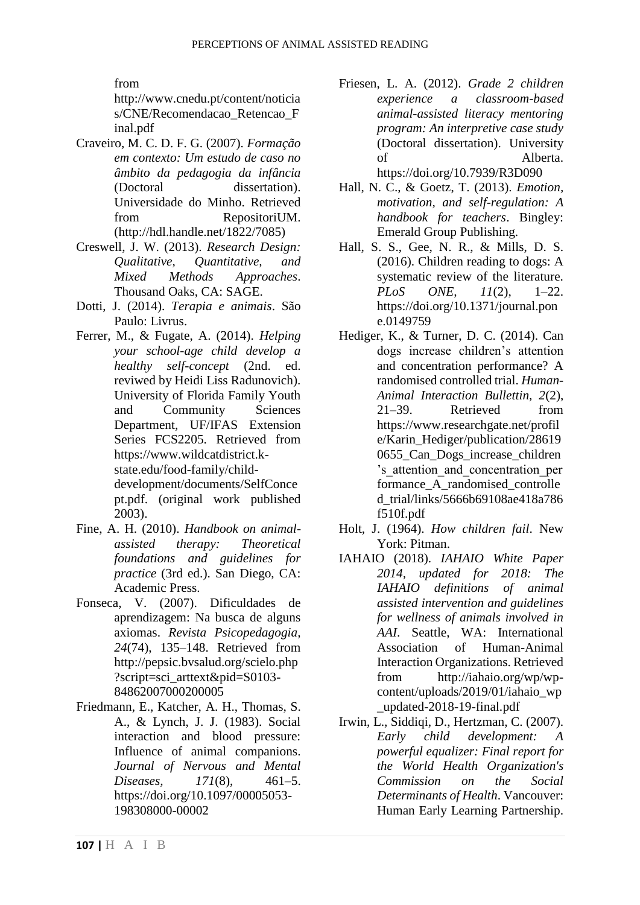from

http://www.cnedu.pt/content/noticia s/CNE/Recomendacao Retencao F inal.pdf

- Craveiro, M. C. D. F. G. (2007). *Formação em contexto: Um estudo de caso no âmbito da pedagogia da infância* (Doctoral dissertation). Universidade do Minho. Retrieved from RepositoriUM. (http://hdl.handle.net/1822/7085)
- Creswell, J. W. (2013). *Research Design: Qualitative, Quantitative, and Mixed Methods Approaches*. Thousand Oaks, CA: SAGE.
- Dotti, J. (2014). *Terapia e animais*. São Paulo: Livrus.
- Ferrer, M., & Fugate, A. (2014). *Helping your school-age child develop a healthy self-concept* (2nd. ed. reviwed by Heidi Liss Radunovich). University of Florida Family Youth and Community Sciences Department, UF/IFAS Extension Series FCS2205. Retrieved from https://www.wildcatdistrict.kstate.edu/food-family/childdevelopment/documents/SelfConce pt.pdf. (original work published 2003).
- Fine, A. H. (2010). *Handbook on animalassisted therapy: Theoretical foundations and guidelines for practice* (3rd ed.). San Diego, CA: Academic Press.
- Fonseca, V. (2007). Dificuldades de aprendizagem: Na busca de alguns axiomas. *Revista Psicopedagogia, 24*(74), 135–148. Retrieved from http://pepsic.bvsalud.org/scielo.php ?script=sci\_arttext&pid=S0103- 84862007000200005
- Friedmann, E., Katcher, A. H., Thomas, S. A., & Lynch, J. J. (1983). Social interaction and blood pressure: Influence of animal companions. *Journal of Nervous and Mental Diseases, 171*(8), 461–5. https://doi.org/10.1097/00005053- 198308000-00002
- Friesen, L. A. (2012). *Grade 2 children experience a classroom-based animal-assisted literacy mentoring program: An interpretive case study* (Doctoral dissertation). University of Alberta. https://doi.org/10.7939/R3D090
- Hall, N. C., & Goetz, T. (2013). *Emotion, motivation, and self-regulation: A handbook for teachers*. Bingley: Emerald Group Publishing.
- Hall, S. S., Gee, N. R., & Mills, D. S. (2016). Children reading to dogs: A systematic review of the literature. *PLoS ONE, 11*(2), 1–22. https://doi.org/10.1371/journal.pon e.0149759
- Hediger, K., & Turner, D. C. (2014). Can dogs increase children's attention and concentration performance? A randomised controlled trial. *Human-Animal Interaction Bullettin, 2*(2), 21–39. Retrieved from https://www.researchgate.net/profil e/Karin\_Hediger/publication/28619 0655 Can Dogs increase children 's\_attention\_and\_concentration\_per formance\_A\_randomised\_controlle d\_trial/links/5666b69108ae418a786 f510f.pdf
- Holt, J. (1964). *How children fail*. New York: Pitman.
- IAHAIO (2018). *IAHAIO White Paper 2014, updated for 2018: The IAHAIO definitions of animal assisted intervention and guidelines for wellness of animals involved in AAI*. Seattle, WA: International Association of Human-Animal Interaction Organizations. Retrieved from http://iahaio.org/wp/wpcontent/uploads/2019/01/iahaio\_wp \_updated-2018-19-final.pdf
- Irwin, L., Siddiqi, D., Hertzman, C. (2007). *Early child development: A powerful equalizer: Final report for the World Health Organization's Commission on the Social Determinants of Health*. Vancouver: Human Early Learning Partnership.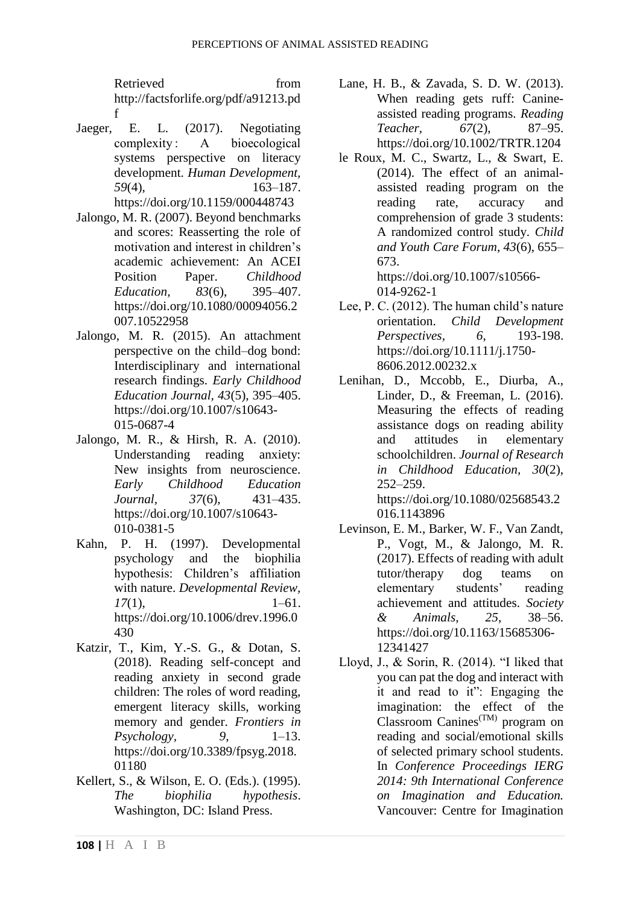Retrieved from http://factsforlife.org/pdf/a91213.pd f

- Jaeger, E. L. (2017). Negotiating complexity : A bioecological systems perspective on literacy development. *Human Development, 59*(4), 163–187. https://doi.org/10.1159/000448743
- Jalongo, M. R. (2007). Beyond benchmarks and scores: Reasserting the role of motivation and interest in children's academic achievement: An ACEI Position Paper. *Childhood Education, 83*(6), 395–407. https://doi.org/10.1080/00094056.2 007.10522958
- Jalongo, M. R. (2015). An attachment perspective on the child–dog bond: Interdisciplinary and international research findings. *Early Childhood Education Journal, 43*(5), 395–405. https://doi.org/10.1007/s10643- 015-0687-4
- Jalongo, M. R., & Hirsh, R. A. (2010). Understanding reading anxiety: New insights from neuroscience. *Early Childhood Education Journal, 37*(6), 431–435. https://doi.org/10.1007/s10643- 010-0381-5
- Kahn, P. H. (1997). Developmental psychology and the biophilia hypothesis: Children's affiliation with nature. *Developmental Review, 17*(1), 1–61. https://doi.org/10.1006/drev.1996.0 430
- Katzir, T., Kim, Y.-S. G., & Dotan, S. (2018). Reading self-concept and reading anxiety in second grade children: The roles of word reading, emergent literacy skills, working memory and gender. *Frontiers in Psychology, 9*, 1–13. https://doi.org/10.3389/fpsyg.2018. 01180
- Kellert, S., & Wilson, E. O. (Eds.). (1995). *The biophilia hypothesis*. Washington, DC: Island Press.
- Lane, H. B., & Zavada, S. D. W. (2013). When reading gets ruff: Canineassisted reading programs. *Reading Teacher, 67*(2), 87–95. https://doi.org/10.1002/TRTR.1204
- le Roux, M. C., Swartz, L., & Swart, E. (2014). The effect of an animalassisted reading program on the reading rate, accuracy and comprehension of grade 3 students: A randomized control study. *Child and Youth Care Forum, 43*(6), 655– 673. https://doi.org/10.1007/s10566- 014-9262-1
- Lee, P. C. (2012). The human child's nature orientation. *Child Development Perspectives, 6*, 193-198. https://doi.org/10.1111/j.1750- 8606.2012.00232.x
- Lenihan, D., Mccobb, E., Diurba, A., Linder, D., & Freeman, L. (2016). Measuring the effects of reading assistance dogs on reading ability and attitudes in elementary schoolchildren. *Journal of Research in Childhood Education, 30*(2), 252–259. https://doi.org/10.1080/02568543.2

016.1143896

- Levinson, E. M., Barker, W. F., Van Zandt, P., Vogt, M., & Jalongo, M. R. (2017). Effects of reading with adult tutor/therapy dog teams on elementary students' reading achievement and attitudes. *Society & Animals, 25*, 38–56. https://doi.org/10.1163/15685306- 12341427
- Lloyd, J., & Sorin, R. (2014). "I liked that you can pat the dog and interact with it and read to it": Engaging the imagination: the effect of the Classroom Canines<sup> $(TM)$ </sup> program on reading and social/emotional skills of selected primary school students. In *Conference Proceedings IERG 2014: 9th International Conference on Imagination and Education.* Vancouver: Centre for Imagination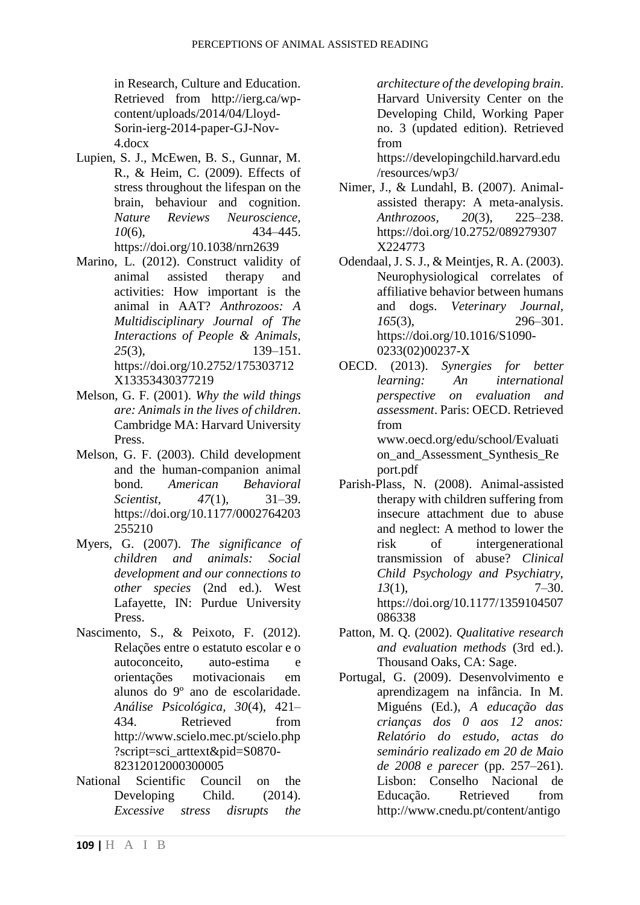in Research, Culture and Education. Retrieved from http://ierg.ca/wpcontent/uploads/2014/04/Lloyd-Sorin-ierg-2014-paper-GJ-Nov-4.docx

- Lupien, S. J., McEwen, B. S., Gunnar, M. R., & Heim, C. (2009). Effects of stress throughout the lifespan on the brain, behaviour and cognition. *Nature Reviews Neuroscience, 10*(6), 434–445. https://doi.org/10.1038/nrn2639
- Marino, L. (2012). Construct validity of animal assisted therapy and activities: How important is the animal in AAT? *Anthrozoos: A Multidisciplinary Journal of The Interactions of People & Animals, 25*(3), 139–151. https://doi.org/10.2752/175303712 X13353430377219
- Melson, G. F. (2001). *Why the wild things are: Animals in the lives of children*. Cambridge MA: Harvard University Press.
- Melson, G. F. (2003). Child development and the human-companion animal bond. *American Behavioral Scientist, 47*(1), 31–39. https://doi.org/10.1177/0002764203 255210
- Myers, G. (2007). *The significance of children and animals: Social development and our connections to other species* (2nd ed.). West Lafayette, IN: Purdue University Press.
- Nascimento, S., & Peixoto, F. (2012). Relações entre o estatuto escolar e o autoconceito, auto-estima e orientações motivacionais em alunos do 9º ano de escolaridade. *Análise Psicológica, 30*(4), 421– 434. Retrieved from http://www.scielo.mec.pt/scielo.php ?script=sci\_arttext&pid=S0870- 82312012000300005
- National Scientific Council on the Developing Child. (2014). *Excessive stress disrupts the*

*architecture of the developing brain*. Harvard University Center on the Developing Child, Working Paper no. 3 (updated edition). Retrieved from

https://developingchild.harvard.edu /resources/wp3/

- Nimer, J., & Lundahl, B. (2007). Animalassisted therapy: A meta-analysis. *Anthrozoos, 20*(3), 225–238. https://doi.org/10.2752/089279307 X224773
- Odendaal, J. S. J., & Meintjes, R. A. (2003). Neurophysiological correlates of affiliative behavior between humans and dogs. *Veterinary Journal, 165*(3), 296–301. https://doi.org/10.1016/S1090- 0233(02)00237-X
- OECD. (2013). *Synergies for better learning: An international perspective on evaluation and assessment*. Paris: OECD. Retrieved from www.oecd.org/edu/school/Evaluati on and Assessment Synthesis Re port.pdf
- Parish-Plass, N. (2008). Animal-assisted therapy with children suffering from insecure attachment due to abuse and neglect: A method to lower the risk of intergenerational transmission of abuse? *Clinical Child Psychology and Psychiatry, 13*(1), 7–30. https://doi.org/10.1177/1359104507 086338
- Patton, M. Q. (2002). *Qualitative research and evaluation methods* (3rd ed.). Thousand Oaks, CA: Sage.
- Portugal, G. (2009). Desenvolvimento e aprendizagem na infância. In M. Miguéns (Ed.), *A educação das crianças dos 0 aos 12 anos: Relatório do estudo, actas do seminário realizado em 20 de Maio de 2008 e parecer* (pp. 257–261). Lisbon: Conselho Nacional de Educação. Retrieved from http://www.cnedu.pt/content/antigo